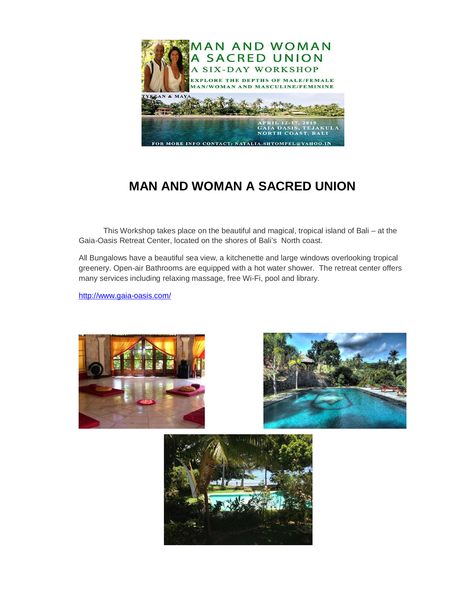

# **MAN AND WOMAN A SACRED UNION**

This Workshop takes place on the beautiful and magical, tropical island of Bali – at the Gaia-Oasis Retreat Center, located on the shores of Bali's North coast.

All Bungalows have a beautiful sea view, a kitchenette and large windows overlooking tropical greenery. Open-air Bathrooms are equipped with a hot water shower. The retreat center offers many services including relaxing massage, free Wi-Fi, pool and library.

http://www.gaia-oasis.com/





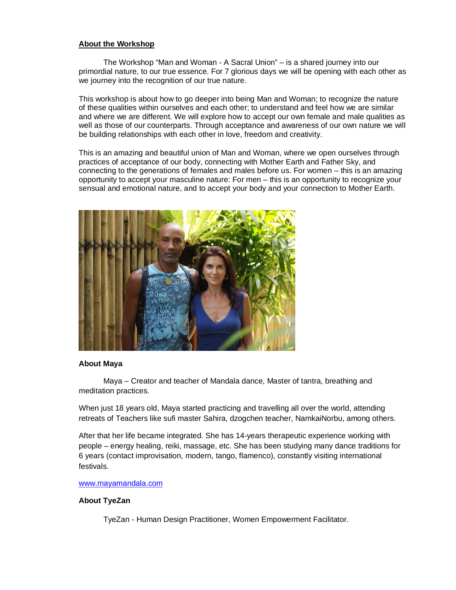## **About the Workshop**

The Workshop "Man and Woman - A Sacral Union" – is a shared journey into our primordial nature, to our true essence. For 7 glorious days we will be opening with each other as we journey into the recognition of our true nature.

This workshop is about how to go deeper into being Man and Woman; to recognize the nature of these qualities within ourselves and each other; to understand and feel how we are similar and where we are different. We will explore how to accept our own female and male qualities as well as those of our counterparts. Through acceptance and awareness of our own nature we will be building relationships with each other in love, freedom and creativity.

This is an amazing and beautiful union of Man and Woman, where we open ourselves through practices of acceptance of our body, connecting with Mother Earth and Father Sky, and connecting to the generations of females and males before us. For women – this is an amazing opportunity to accept your masculine nature: For men – this is an opportunity to recognize your sensual and emotional nature, and to accept your body and your connection to Mother Earth.



#### **About Maya**

Maya – Creator and teacher of Mandala dance, Master of tantra, breathing and meditation practices.

When just 18 years old, Maya started practicing and travelling all over the world, attending retreats of Teachers like sufi master Sahira, dzogchen teacher, NamkaiNorbu, among others.

After that her life became integrated. She has 14-years therapeutic experience working with people – energy healing, reiki, massage, etc. She has been studying many dance traditions for 6 years (contact improvisation, modern, tango, flamenco), constantly visiting international festivals.

## www.mayamandala.com

# **About TyeZan**

TyeZan - Human Design Practitioner, Women Empowerment Facilitator.